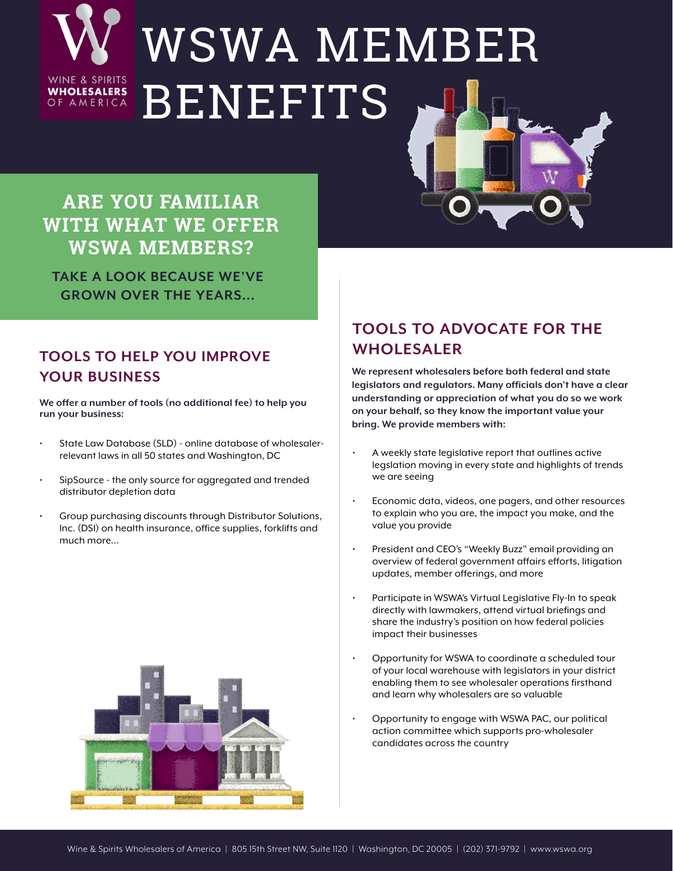

# WSWA MEMBER BENEFITS

## **ARE YOU FAMILIAR WITH WHAT WE OFFER WSWA MEMBERS?**

**TAKE A LOOK BECAUSE WE'VE GROWN OVER THE YEARS...**

### **TOOLS TO HELP YOU IMPROVE YOUR BUSINESS**

**We offer a number of tools (no additional fee) to help you run your business:**

- State Law Database (SLD) online database of wholesalerrelevant laws in all 50 states and Washington, DC
- SipSource the only source for aggregated and trended distributor depletion data
- Group purchasing discounts through Distributor Solutions, Inc. (DSI) on health insurance, office supplies, forklifts and much more...



## **TOOLS TO ADVOCATE FOR THE WHOLESALER**

**We represent wholesalers before both federal and state legislators and regulators. Many officials don't have a clear understanding or appreciation of what you do so we work on your behalf, so they know the important value your bring. We provide members with:**

- A weekly state legislative report that outlines active legslation moving in every state and highlights of trends we are seeing
- Economic data, videos, one pagers, and other resources to explain who you are, the impact you make, and the value you provide
- President and CEO's "Weekly Buzz" email providing an overview of federal government affairs efforts, litigation updates, member offerings, and more
- Participate in WSWA's Virtual Legislative Fly-In to speak directly with lawmakers, attend virtual briefings and share the industry's position on how federal policies impact their businesses
- Opportunity for WSWA to coordinate a scheduled tour of your local warehouse with legislators in your district enabling them to see wholesaler operations firsthand and learn why wholesalers are so valuable
- Opportunity to engage with WSWA PAC, our political action committee which supports pro-wholesaler candidates across the country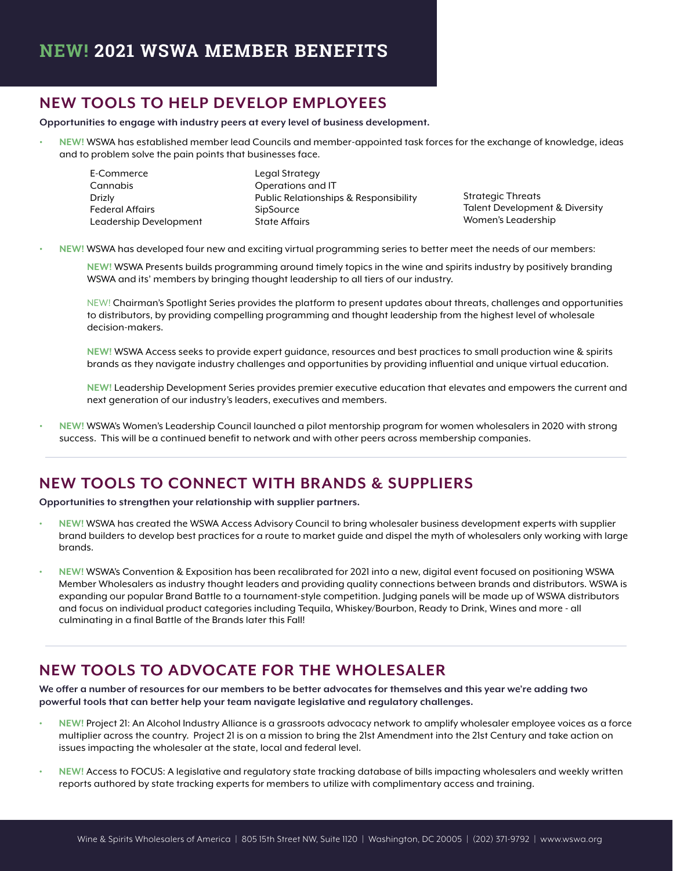## **NEW! 2021 WSWA MEMBER BENEFITS**

#### **NEW TOOLS TO HELP DEVELOP EMPLOYEES**

**Opportunities to engage with industry peers at every level of business development.**

- **• NEW!** WSWA has established member lead Councils and member-appointed task forces for the exchange of knowledge, ideas and to problem solve the pain points that businesses face.
	- E-Commerce Cannabis Drizly Federal Affairs Leadership Development Legal Strategy Operations and IT Public Relationships & Responsibility SipSource State Affairs

Strategic Threats Talent Development & Diversity Women's Leadership

**• NEW!** WSWA has developed four new and exciting virtual programming series to better meet the needs of our members:

**NEW!** WSWA Presents builds programming around timely topics in the wine and spirits industry by positively branding WSWA and its' members by bringing thought leadership to all tiers of our industry.

NEW! Chairman's Spotlight Series provides the platform to present updates about threats, challenges and opportunities to distributors, by providing compelling programming and thought leadership from the highest level of wholesale decision-makers.

**NEW!** WSWA Access seeks to provide expert guidance, resources and best practices to small production wine & spirits brands as they navigate industry challenges and opportunities by providing influential and unique virtual education.

**NEW!** Leadership Development Series provides premier executive education that elevates and empowers the current and next generation of our industry's leaders, executives and members.

**• NEW!** WSWA's Women's Leadership Council launched a pilot mentorship program for women wholesalers in 2020 with strong success. This will be a continued benefit to network and with other peers across membership companies.

#### **NEW TOOLS TO CONNECT WITH BRANDS & SUPPLIERS**

**Opportunities to strengthen your relationship with supplier partners.** 

- **• NEW!** WSWA has created the WSWA Access Advisory Council to bring wholesaler business development experts with supplier brand builders to develop best practices for a route to market guide and dispel the myth of wholesalers only working with large brands.
- **• NEW!** WSWA's Convention & Exposition has been recalibrated for 2021 into a new, digital event focused on positioning WSWA Member Wholesalers as industry thought leaders and providing quality connections between brands and distributors. WSWA is expanding our popular Brand Battle to a tournament-style competition. Judging panels will be made up of WSWA distributors and focus on individual product categories including Tequila, Whiskey/Bourbon, Ready to Drink, Wines and more - all culminating in a final Battle of the Brands later this Fall!

#### **NEW TOOLS TO ADVOCATE FOR THE WHOLESALER**

**We offer a number of resources for our members to be better advocates for themselves and this year we're adding two powerful tools that can better help your team navigate legislative and regulatory challenges.**

- **• NEW!** Project 21: An Alcohol Industry Alliance is a grassroots advocacy network to amplify wholesaler employee voices as a force multiplier across the country. Project 21 is on a mission to bring the 21st Amendment into the 21st Century and take action on issues impacting the wholesaler at the state, local and federal level.
- **• NEW!** Access to FOCUS: A legislative and regulatory state tracking database of bills impacting wholesalers and weekly written reports authored by state tracking experts for members to utilize with complimentary access and training.